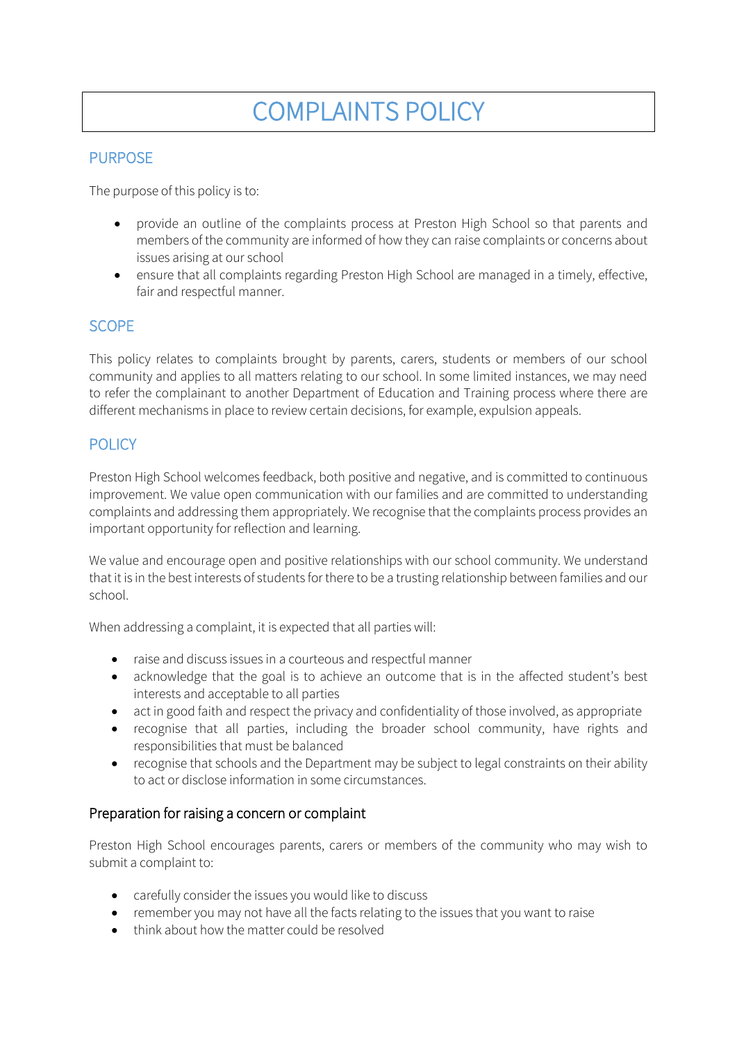# COMPLAINTS POLICY

## PURPOSE

The purpose of this policy is to:

- provide an outline of the complaints process at Preston High School so that parents and members of the community are informed of how they can raise complaints or concerns about issues arising at our school
- ensure that all complaints regarding Preston High School are managed in a timely, effective, fair and respectful manner.

# SCOPE

This policy relates to complaints brought by parents, carers, students or members of our school community and applies to all matters relating to our school. In some limited instances, we may need to refer the complainant to another Department of Education and Training process where there are different mechanisms in place to review certain decisions, for example, expulsion appeals.

# **POLICY**

Preston High School welcomes feedback, both positive and negative, and is committed to continuous improvement. We value open communication with our families and are committed to understanding complaints and addressing them appropriately. We recognise that the complaints process provides an important opportunity for reflection and learning.

We value and encourage open and positive relationships with our school community. We understand that it is in the best interests of students for there to be a trusting relationship between families and our school.

When addressing a complaint, it is expected that all parties will:

- raise and discuss issues in a courteous and respectful manner
- acknowledge that the goal is to achieve an outcome that is in the affected student's best interests and acceptable to all parties
- act in good faith and respect the privacy and confidentiality of those involved, as appropriate
- recognise that all parties, including the broader school community, have rights and responsibilities that must be balanced
- recognise that schools and the Department may be subject to legal constraints on their ability to act or disclose information in some circumstances.

## Preparation for raising a concern or complaint

Preston High School encourages parents, carers or members of the community who may wish to submit a complaint to:

- carefully consider the issues you would like to discuss
- remember you may not have all the facts relating to the issues that you want to raise
- think about how the matter could be resolved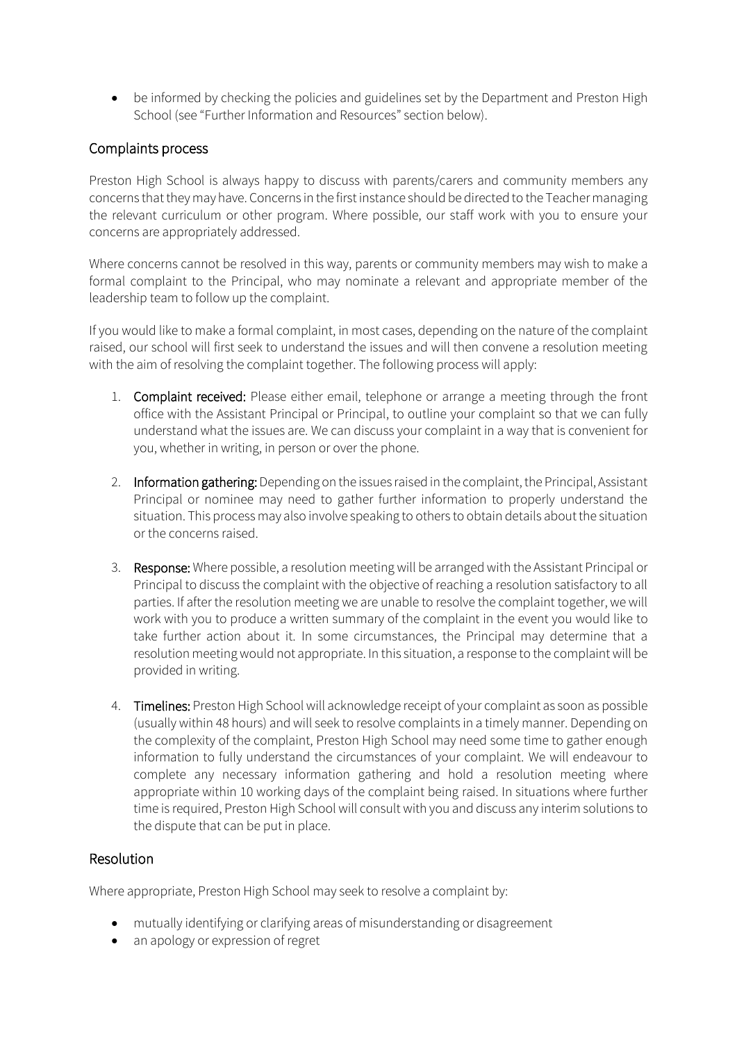• be informed by checking the policies and guidelines set by the Department and Preston High School (see "Further Information and Resources" section below).

## Complaints process

Preston High School is always happy to discuss with parents/carers and community members any concerns that they may have. Concerns in the first instance should be directed to the Teacher managing the relevant curriculum or other program. Where possible, our staff work with you to ensure your concerns are appropriately addressed.

Where concerns cannot be resolved in this way, parents or community members may wish to make a formal complaint to the Principal, who may nominate a relevant and appropriate member of the leadership team to follow up the complaint.

If you would like to make a formal complaint, in most cases, depending on the nature of the complaint raised, our school will first seek to understand the issues and will then convene a resolution meeting with the aim of resolving the complaint together. The following process will apply:

- 1. Complaint received: Please either email, telephone or arrange a meeting through the front office with the Assistant Principal or Principal, to outline your complaint so that we can fully understand what the issues are. We can discuss your complaint in a way that is convenient for you, whether in writing, in person or over the phone.
- 2. Information gathering: Depending on the issues raised in the complaint, the Principal, Assistant Principal or nominee may need to gather further information to properly understand the situation. This process may also involve speaking to others to obtain details about the situation or the concerns raised.
- 3. Response: Where possible, a resolution meeting will be arranged with the Assistant Principal or Principal to discuss the complaint with the objective of reaching a resolution satisfactory to all parties. If after the resolution meeting we are unable to resolve the complaint together, we will work with you to produce a written summary of the complaint in the event you would like to take further action about it. In some circumstances, the Principal may determine that a resolution meeting would not appropriate. In this situation, a response to the complaint will be provided in writing.
- 4. Timelines: Preston High School will acknowledge receipt of your complaint as soon as possible (usually within 48 hours) and will seek to resolve complaints in a timely manner. Depending on the complexity of the complaint, Preston High School may need some time to gather enough information to fully understand the circumstances of your complaint. We will endeavour to complete any necessary information gathering and hold a resolution meeting where appropriate within 10 working days of the complaint being raised. In situations where further time is required, Preston High School will consult with you and discuss any interim solutions to the dispute that can be put in place.

#### Resolution

Where appropriate, Preston High School may seek to resolve a complaint by:

- mutually identifying or clarifying areas of misunderstanding or disagreement
- an apology or expression of regret